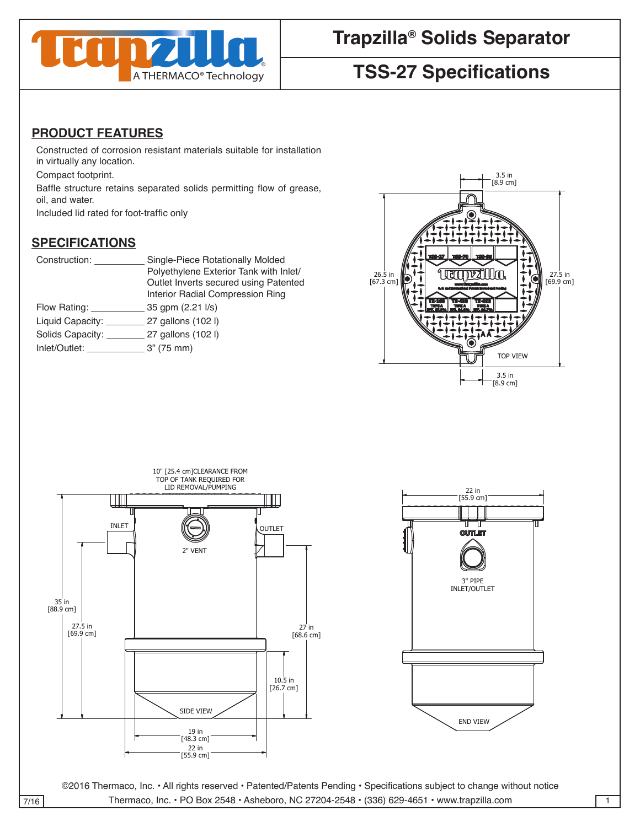

# **TSS-27 Specifications**

## **PRODUCT FEATURES**

Constructed of corrosion resistant materials suitable for installation in virtually any location.

Compact footprint.

Baffle structure retains separated solids permitting flow of grease, oil, and water.

Included lid rated for foot-traffic only

# **SPECIFICATIONS** 4

| Construction:    | Single-Piece Rotationally Molded<br>Polyethylene Exterior Tank with Inlet/<br>Outlet Inverts secured using Patented | <b>TSS-27   TSS-70   TSS-95  </b><br>26.5<br>$[67.3 \text{ cm}]$<br>[69.9 cm] |  |
|------------------|---------------------------------------------------------------------------------------------------------------------|-------------------------------------------------------------------------------|--|
|                  | Interior Radial Compression Ring                                                                                    |                                                                               |  |
| Flow Rating:     | 35 gpm (2.21 l/s)                                                                                                   |                                                                               |  |
| Liquid Capacity: | 27 gallons (102 l)                                                                                                  |                                                                               |  |
| Solids Capacity: | 27 gallons (102 l)                                                                                                  |                                                                               |  |
| Inlet/Outlet:    | 3" (75 mm)                                                                                                          |                                                                               |  |
|                  |                                                                                                                     | <b>TOP VIEW</b>                                                               |  |







©2016 Thermaco, Inc. • All rights reserved • Patented/Patents Pending • Specifications subject to change without notice 7/16 | Thermaco, Inc. • PO Box 2548 • Asheboro, NC 27204-2548 • (336) 629-4651 • www.trapzilla.com | 1  $T$  This drawing  $T$  of the solution of the sole property of the sole property of the sole property of the sole property of the sole property of the sole property of the sole property of the sole property of the sole prop

DRAWN DATE

CHECKED SIZE REV. NO. DWG NO.